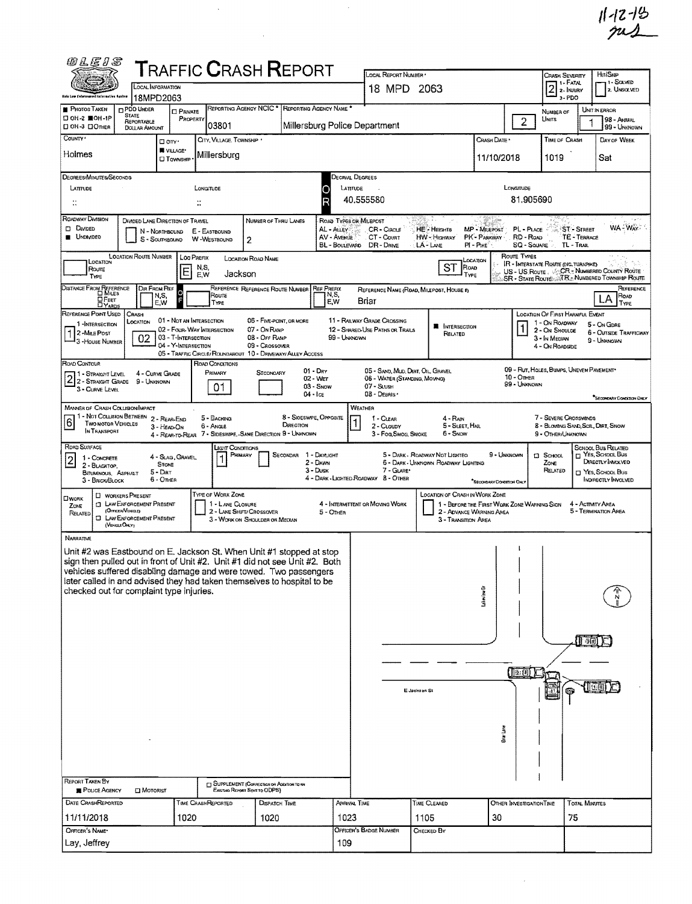$11 - 19$ <br> $7 - 19$ 

| 网儿后儿名                                                                                                                                                                                                                                                                                                                                                                                                   |                                                                                                                                           |                                                              | <b>TRAFFIC CRASH REPORT</b>                                                             |                                                                                     |                                      |                                                        | LOCAL REPORT NUMBER .                                                        |                                                                       |                                                                         |                                        | Crash Severity                                                                   |                                  | HIT/SKIP                                                                                                                   |
|---------------------------------------------------------------------------------------------------------------------------------------------------------------------------------------------------------------------------------------------------------------------------------------------------------------------------------------------------------------------------------------------------------|-------------------------------------------------------------------------------------------------------------------------------------------|--------------------------------------------------------------|-----------------------------------------------------------------------------------------|-------------------------------------------------------------------------------------|--------------------------------------|--------------------------------------------------------|------------------------------------------------------------------------------|-----------------------------------------------------------------------|-------------------------------------------------------------------------|----------------------------------------|----------------------------------------------------------------------------------|----------------------------------|----------------------------------------------------------------------------------------------------------------------------|
| <b>Shis Low Coloranues</b>                                                                                                                                                                                                                                                                                                                                                                              |                                                                                                                                           | OCAL INFORMATION<br>18MPD2063                                |                                                                                         |                                                                                     |                                      |                                                        |                                                                              | 18 MPD 2063                                                           |                                                                         |                                        | $2^{\frac{1}{2} \cdot \text{FATAY}}$<br>a-PDO                                    |                                  | 11 - Solved<br>2. UNSOLVED                                                                                                 |
| PHOTOS TAKEN<br>口 OH-2 ■OH-1P                                                                                                                                                                                                                                                                                                                                                                           | <b>DPDO UNDER</b><br><b>STATE</b>                                                                                                         | <b>D</b> PRIVATE<br>PROPERTY                                 |                                                                                         | REPORTING AGENCY NCIC                                                               |                                      | REPORTING AGENCY NAME *                                |                                                                              |                                                                       |                                                                         |                                        | NUMBER OF<br>Units                                                               |                                  | UNIT IN ERROR                                                                                                              |
| □ ОН З □ Отней                                                                                                                                                                                                                                                                                                                                                                                          | REPORTABLE<br>DOLLAR AMOUNT                                                                                                               |                                                              | 03801                                                                                   |                                                                                     |                                      |                                                        | Millersburg Police Department                                                |                                                                       |                                                                         | $\overline{2}$                         |                                                                                  |                                  | 98 - Annmal<br>99 - UNKNOWN                                                                                                |
| COUNTY '                                                                                                                                                                                                                                                                                                                                                                                                |                                                                                                                                           | □ an ·<br>WILLAGE*                                           | CITY, VILLAGE, TOWNSHIP .                                                               |                                                                                     |                                      |                                                        |                                                                              |                                                                       | CRASH DATE                                                              |                                        | TIME OF CRASH                                                                    |                                  | DAY OF WEEK                                                                                                                |
| Holmes                                                                                                                                                                                                                                                                                                                                                                                                  |                                                                                                                                           | <b>CI TOWNSHIP</b>                                           | Millersburg                                                                             |                                                                                     |                                      |                                                        |                                                                              |                                                                       | 11/10/2018                                                              |                                        | 1019                                                                             |                                  | Sat                                                                                                                        |
| DEGREES/MINUTES/SECONDS                                                                                                                                                                                                                                                                                                                                                                                 |                                                                                                                                           |                                                              |                                                                                         |                                                                                     |                                      |                                                        | Decimal Degrees                                                              |                                                                       |                                                                         |                                        |                                                                                  |                                  |                                                                                                                            |
| LATITUDE<br>π                                                                                                                                                                                                                                                                                                                                                                                           |                                                                                                                                           |                                                              | LONGITUDE<br>∷                                                                          |                                                                                     |                                      | Ο                                                      | LATITUDE<br>40.555580                                                        |                                                                       |                                                                         | LONGITUDE<br>81.905690                 |                                                                                  |                                  |                                                                                                                            |
| ROADWAY DIVISION                                                                                                                                                                                                                                                                                                                                                                                        |                                                                                                                                           |                                                              |                                                                                         |                                                                                     |                                      |                                                        |                                                                              |                                                                       |                                                                         |                                        |                                                                                  |                                  |                                                                                                                            |
| <b>D</b> DIVIDED<br><b>UNDIVIDED</b>                                                                                                                                                                                                                                                                                                                                                                    | DIVIDED LANE DIRECTION OF TRAVEL                                                                                                          | N - NORTHBOUND<br>S - SouthBound                             | E - EASTBOUND<br>W-WESTBOUND                                                            | NUMBER OF THRU LANES<br>2                                                           |                                      | AL - ALLEY<br>AV - AVENUE                              | ROAD TYPES OR MILEPOST<br>CR - Ciacus<br>CT - COURT<br>BL-BOULEVARD DR-DRIVE | <b>HE-HEIGHT6</b><br>HW - Highway<br>LA-LME                           | <b>MP - MILEPOST</b><br>PK - PARKWAY<br>$PI - P_{IKE}$                  | PL - PLACE<br>RD - ROAD<br>SQ - SOUARE | TL - Trail                                                                       | <b>ST-STREET</b><br>TE - TERRACE | WA - WAY?                                                                                                                  |
| LOCATION<br>Route<br>TYPE                                                                                                                                                                                                                                                                                                                                                                               | <b>LOCATION ROUTE NUMBER</b>                                                                                                              | E                                                            | LOC PREFIX<br>N,S,<br>Jackson<br>E,W                                                    | <b>LOCATION ROAD NAME</b>                                                           |                                      |                                                        |                                                                              | ST                                                                    | Location<br>ROAD<br>TYPE                                                | Route Types                            | <b>IR - INTERSTATE ROUTE (INC. TURNSHKE)</b>                                     |                                  | US - US ROUTE . CCR. NUMBERED COUNTY ROUTE<br>SR - State Route TR. Numbered Township Route                                 |
| DISTANCE FROM REFERENCE<br>О Реет<br><b>DYARDS</b>                                                                                                                                                                                                                                                                                                                                                      | DIR FROM REF                                                                                                                              | N,S,<br>EW                                                   | Roure<br><b>TYPE</b>                                                                    | REFERENCE REFERENCE ROUTE NUMBER                                                    |                                      | <b>REF PREFIX</b><br>N,S,<br>E,W                       | Briar                                                                        | REFERENCE NAME (ROAD, MILEPOST, HOUSE #)                              |                                                                         |                                        |                                                                                  |                                  | REFERENCE<br>Road<br>Α<br>Type                                                                                             |
| REFERENCE POINT USED<br>1-INTERSECTION                                                                                                                                                                                                                                                                                                                                                                  | CRASH<br>LOCATION                                                                                                                         | 01 - Not an INTERSECTION                                     |                                                                                         | 06 - Five-paint, or more                                                            |                                      |                                                        | 11 - RAILWAY GRADE CROSSING                                                  |                                                                       |                                                                         |                                        | LOCATION OF FIRST HARMFUL EVENT<br>1 - On ROADWAY                                |                                  | 5 - On GDRE                                                                                                                |
| 1 2-MILE POST<br>- 3 - House Number                                                                                                                                                                                                                                                                                                                                                                     | 02                                                                                                                                        | 03 - T-INTERSECTION<br>04 - Y-Intersection                   | 02 - FOUR-WAY INTERSECTION<br>05 - TRAFFIC CIRCLE/ROUNDABOUT 10 - DRIVEWAY/ALLEY ACCESS | 07 - On RAMP<br>08 - OFF RAMP<br>09 - Crossover                                     |                                      |                                                        | 12 - SHARED-USE PATHS OR TRAILS<br>99 - Unknown                              | <b>N</b> INTERSECTION<br>RELATED                                      |                                                                         |                                        | 2 - On Shoulde<br>3 - In MEDIAN<br>4 - On ROADSIDE                               |                                  | <b>6 - OUTSIDE TRAFFICWAY</b><br>9 - UNKNOWN                                                                               |
| ROAD CONTOUR<br>2 1 - Straight Level 4 - Curve Gr<br>2 2 - Straight Grade 9 - Unknown<br>3 - CURVE LEVEL                                                                                                                                                                                                                                                                                                |                                                                                                                                           | 4 - CURVE GRADE                                              | ROAD CONDITIONS<br>PRIMARY<br>01                                                        | Secondary                                                                           |                                      | $01 - \text{Drv}$<br>02 - Wer<br>03 - Snow<br>04 - Ice | 06 - WATER (STANDING, MOVING)<br>07 - SLUSH<br>08 - Deanis -                 | 05 - SAND, MUD, DIRT, OIL, GRAVEL                                     |                                                                         | $10 -$ Omer<br>99 - UNKNOWN            | 09 - Rut, HOLES, BUMPS, UNEVEN PAVEMENT*                                         |                                  | <b>SECONDARY CONDITION ONLY</b>                                                                                            |
| <b>MANNER OF CRASH COLUSION/IMPACT</b><br>- NOT COLLISION BETWEEN<br>61<br><b>TWO MOTOR VEHICLES</b><br>IN TRANSPORT                                                                                                                                                                                                                                                                                    |                                                                                                                                           | 2 - REAR-END<br>3 - HEAD-ON                                  | 5 - BACKING<br>6 - Angle<br>4 - REAR-TO-REAR 7 - SIDESWIPE, -SAME DIRECTION 9 - UNKNOWN |                                                                                     | 8 - SIOESWIPE, OPPOSITE<br>DIRECTION |                                                        | WEATHER<br>1 - CLEAR<br>2 - CLOUDY<br>3 - Fog, Smog, Smoke                   | $4 - R$ AIN<br>5 - Sleet, Hal<br>6 - SNOW                             |                                                                         |                                        | 7 - SEVERE CROSSWINDS<br>8 - Blowing Sand, Soil, Dirt, Snow<br>9 - OTHER/UNKNOWN |                                  |                                                                                                                            |
| ROAD SURFACE<br>1 - CONCRETE<br>$\overline{c}$<br>2 - BLACKTOP.<br>BITUMINOUS, ASPHALT<br>3 - BRICK/BLOCK                                                                                                                                                                                                                                                                                               |                                                                                                                                           | 4 - SLAG, GRAVEL<br><b>STONE</b><br>$5 -$ Diat<br>$6 -$ Onea | Light Conditions                                                                        | PRIMARY                                                                             | SECONDAR 1 - DAYLIGHT                | 2 - Dawn<br>3 - Dusk                                   | 7 - GLARE*<br>4 - DARK - LIGHTED ROADWAY 8 - OTHER                           | 5 - DARK - ROADWAY NOT LIGHTED<br>6 - DARK - UNKNOWN ROADWAY LIGHTING | *SECONDARY CONDITION ONLY                                               | 9 - UNKNOWN                            | $\square$ School<br>ZONE<br>RELATED                                              |                                  | SCHOOL BUS RELATED<br>$\sqcap$ YES, SCHOOL BUS<br>DIRECTLY INVOLVED<br><sup>1</sup> Yes, School Bus<br>INDIRECTLY INVOLVED |
| OWORK<br>Zone<br>RELATED                                                                                                                                                                                                                                                                                                                                                                                | <b>CI WORKERS PRESENT</b><br><b>CT LAW ENFORCEMENT PRESENT</b><br>(OFFICENVENICLE)<br><b>CI LAW ENFORCEMENT PRESENT</b><br>(VEHICLE ONLY) |                                                              | <b>TYPE OF WORK ZONE</b><br>1 - LANE CLOSURE                                            | 2 - LANE SHIFT/ CROSSOVER<br>3 - WORK ON SHOULDER OR MEDIAN                         |                                      | 5 - OTHER                                              | 4 - INTERMITTENT OR MOVING WORK                                              | <b>LOCATION OF CRASH IN WORK ZONE</b><br>3 - Transmon Area            | 1 - BEFORE THE FIRST WORK ZONE WARNING SIGN<br>2 - ADVANCE WARNING AREA |                                        |                                                                                  |                                  | 4 - Activity Area<br>5 - TERMINATION AREA                                                                                  |
| <b>NARRATIVE</b><br>Unit #2 was Eastbound on E. Jackson St. When Unit #1 stopped at stop<br>sign then pulled out in front of Unit #2. Unit #1 did not see Unit #2. Both<br>vehicles suffered disabling damage and were towed. Two passengers<br>later called in and advised they had taken themselves to hospital to be<br>checked out for complaint type injuries.<br>REPORT TAKEN BY<br>POLICE AGENCY | <b>D</b> MOTORIST                                                                                                                         |                                                              |                                                                                         | <b>CJ SUPPLEMENT (CORRECTION OR ADDITION TO AN</b><br>EXISTING REPORT SENT TO ODPS) |                                      |                                                        |                                                                              | E Jackson St                                                          | akeview Dr<br>Criar Lane                                                | (12.01)                                |                                                                                  | 5回                               |                                                                                                                            |
| DATE CRASHREPORTED                                                                                                                                                                                                                                                                                                                                                                                      |                                                                                                                                           |                                                              | TIME CRASHREPORTED                                                                      | DISPATCH TIME                                                                       |                                      |                                                        | ARRIVAL TINE                                                                 | TIME CLEARED                                                          |                                                                         | OTHER INVESTIGATION TIME               |                                                                                  | <b>TOTAL MINUTES</b>             |                                                                                                                            |
| 11/11/2018<br>OFFICER'S NAME*                                                                                                                                                                                                                                                                                                                                                                           |                                                                                                                                           | 1020                                                         |                                                                                         | 1020                                                                                |                                      |                                                        | 1023<br>OFFICER'S BADGE NUMBER                                               | 1105<br>CHECKED BY                                                    | 30                                                                      |                                        | 75                                                                               |                                  |                                                                                                                            |
| Lay, Jeffrey                                                                                                                                                                                                                                                                                                                                                                                            |                                                                                                                                           |                                                              |                                                                                         |                                                                                     |                                      | 109                                                    |                                                                              |                                                                       |                                                                         |                                        |                                                                                  |                                  |                                                                                                                            |

 $\mathcal{L}^{\text{max}}_{\text{max}}$ 

 $\mathcal{L}_{\text{max}}$ 

 $\frac{1}{2} \left( \frac{1}{2} \right)$  ,  $\frac{1}{2} \left( \frac{1}{2} \right)$ 

 $\sim$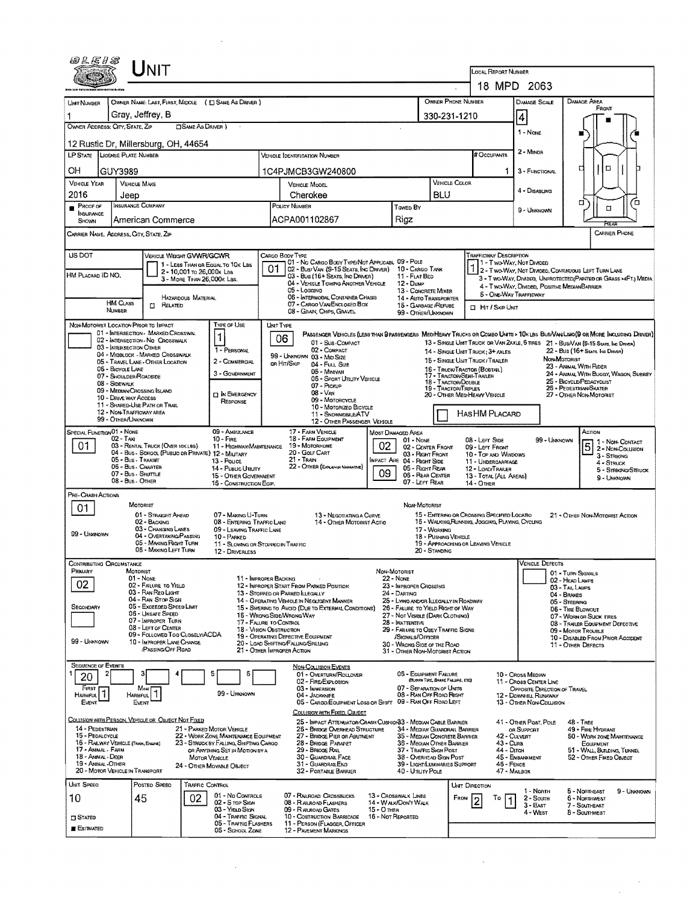| UNIT                                                                                                                                                      |                                                                                                                                                                     |                                                                                                                                                                                      |             |
|-----------------------------------------------------------------------------------------------------------------------------------------------------------|---------------------------------------------------------------------------------------------------------------------------------------------------------------------|--------------------------------------------------------------------------------------------------------------------------------------------------------------------------------------|-------------|
|                                                                                                                                                           |                                                                                                                                                                     | LOCAL REPORT NUMBER<br>18 MPD 2063                                                                                                                                                   |             |
|                                                                                                                                                           |                                                                                                                                                                     | OWNER PHONE NUMBER<br>DAMAGE AREA                                                                                                                                                    |             |
| OWNER NAME: LAST, FIRST, MIDDLE ( E) SAME AS DRIVER )<br>UNT NUMBER<br>Gray, Jeffrey, B                                                                   |                                                                                                                                                                     | DAMAGE SCALE<br>FRONT<br>330-231-1210                                                                                                                                                |             |
| OWNER ADDRESS: CITY, STATE, ZIP<br><b>CISAME AS DRIVER</b> )                                                                                              |                                                                                                                                                                     | $\vert 4 \vert$<br>1 - NONE                                                                                                                                                          |             |
| 12 Rustic Dr. Millersburg, OH, 44654                                                                                                                      |                                                                                                                                                                     |                                                                                                                                                                                      |             |
| <b>LP STATE</b><br>LICENSE PLATE NUMBER                                                                                                                   | VEHICLE IDENTIFICATION NUMBER                                                                                                                                       | 2 - MINOR<br># Occupants                                                                                                                                                             |             |
| OН<br>GUY3989                                                                                                                                             | 1C4PJMCB3GW240800                                                                                                                                                   | ם<br>3 - FUNCTIONAL                                                                                                                                                                  |             |
| <b>VEHICLE YEAR</b><br><b>VEHICLE MAKE</b><br>2016                                                                                                        | <b>VEHICLE MODEL</b>                                                                                                                                                | <b>VEHICLE COLOR</b><br>4 - Disabung<br>BLU                                                                                                                                          |             |
| Jeep<br><b>INSURANCE COMPANY</b><br>$P$ ROOF OF                                                                                                           | Cherokee<br>POLICY NUMBER<br>Toweb By                                                                                                                               | α.<br>□<br>9 - UNKNOWN                                                                                                                                                               | ם           |
| INSURANCE<br>American Commerce<br>SHOWN                                                                                                                   | ACPA001102867<br>Rigz                                                                                                                                               | Frean                                                                                                                                                                                |             |
| CARRIER NAME, ADDRESS, CITY, STATE, ZIP                                                                                                                   |                                                                                                                                                                     | <b>CARRIER PHONE</b>                                                                                                                                                                 |             |
| US DOT<br>VEHICLE WEIGHT GVWR/GCWR                                                                                                                        | CARGO BODY TYPE                                                                                                                                                     | <b>TRAFFICWAY DESCRIPTION</b>                                                                                                                                                        |             |
| 1 - LESS THAN OR EQUAL TO 10K LBS<br>2 - 10,001 To 26,000k LBS<br>HM PLACARD ID NO.                                                                       | 01 - No CARGO BODY TYPE/NOT APPLICABL 09 - POLE<br>02 - Bus/Van (9-15 Seats, Inc Driver)<br>03 - Bus (16+ Seats, Inc Driver)<br>11 - FLAT BED                       | 1 - Two-Way, Not Divided<br>1 2 - T WO-WAY, NOT DIVIDED, CONTINUOUS LEFT TURN LANE<br>10 - CARGO TANK                                                                                |             |
| 3 - MORE THAN 26,000K LBS.                                                                                                                                | 04 - VEHICLE TOWING ANOTHER VEHICLE<br>12 - Duse<br>05 - Logging                                                                                                    | 3 - T WO-WAY, DIVIDED, UNPROTECTED (PAINTED OR GRASS >4FT.) MEDIA<br>4 - Two-Way, Divided, Positive Median Barrier<br>13 - CONCRETE MIXER                                            |             |
| HAZARDOUS MATERIAL<br><b>HM CLASS</b><br><b>CI RELATED</b>                                                                                                | 06 - INTERMODAL CONTAINER CHASIS<br>07 - CARGO VAN/ENCLOSED BOX                                                                                                     | <b>5 - ONE-WAY TRAFFICWAY</b><br>14 - AUTO TRANSPORTER<br>15 - GARBAGE /REFUSE<br><b>D</b> Hit / Skip UNIT                                                                           |             |
| NUMBER                                                                                                                                                    | 08 - GRAIN, CHIPS, GRAVEL                                                                                                                                           | 99 - OTHER/UNKNOWN                                                                                                                                                                   |             |
| NON-MOTORIST LOCATION PRIOR TO IMPACT<br>TYPE OF USE<br>01 - INTERSECTION - MARKED CROSSWAL<br>1<br>02 - INTERSECTION - NO CROSSWALK                      | <b>UNIT TYPE</b><br>06                                                                                                                                              | PASSENGER VEHICLES (LESS THAN PRASSENGERS MEDIMEANY TRUCKS OR COMBO UNTS > 10K LBS BUS/VAN/LIMO(9 OR MORE INCLUDING DRIVER)                                                          |             |
| 03 - INTERSECTION OTHER<br>1 - PERSONAL<br>04 - MIDBLOCK - MARKED CROSSWALK                                                                               | 01 - Sua-Compact<br>02 - COMPACT                                                                                                                                    | 13 - SINGLE UNIT TRUCK OR VAN ZAXLE, 6 TRES 21 - BUS/VAN (9-15 SEATS, INC DRIVER)<br>22 - Bus (16+ Seats, Ing Driver)<br>14 - SINGLE UNIT TRUCK: 3+ AXLES                            |             |
| 05 - TRAVEL LANE - OTHER LOCATION<br>2 - COMMERCIAL<br>06 - BICYCLE LANE                                                                                  | 99 - UNKNOWN 03 - MID SIZE<br>OR HIT/SKIP<br>04 - FULL SIZE                                                                                                         | NON-MOTORIST<br>15 - SINGLE UNIT TRUCK / TRAILER<br>23 - ANIMAL WITH RIDER<br>16 - TRUCK/TRACTOR (BOBTAIL)                                                                           |             |
| 3 - GOVERNMENT<br>07 - SHOULDER/ROADSIDE<br>08 - Sidewalk                                                                                                 | 05 - Minivan<br>05 - SPORT UTILITY VEHICLE<br>07 - PICKUP                                                                                                           | 24 - ANIMAL WITH BUGGY, WAGON, SURREY<br>17 - Tractor/Semi-Trailer<br>25 - BICYCLE/PEDACYCLIST<br>18 - TRACTOR/DOUBLE                                                                |             |
| 09 - MEDIAN/CROSSING ISLAND<br><b>D</b> IN EMERGENCY<br>10 - DRIVE WAY ACCESS<br>RESPONSE                                                                 | $08 - V_{AN}$<br>09 - MOTORCYCLE                                                                                                                                    | 26 - PEDESTRIAN SKATER<br>19 - TRACTOR/TRIPLES<br>20 - OTHER MED/HEAVY VEHICLE<br>27 - OTHER NON-MOTORIST                                                                            |             |
| 11 - SHARED-USE PATH OR TRAIL<br>12 - NON-TRAFFICWAY AREA                                                                                                 | 10 - MOTORIZED BICYCLE<br>11 - SNOWMOBILE/ATV                                                                                                                       | HASHM PLACARD                                                                                                                                                                        |             |
| 99 - OTHER/UNKNOWN<br>09 - AMBULANCE<br>SPECIAL FUNCTION 01 - NONE                                                                                        | 12 - OTHER PASSENGER VEHICLE<br>17 - FARM VEHICLE<br>Most Damaged Area                                                                                              | ACTION                                                                                                                                                                               |             |
| $02 - T$ AXI<br>$10 -$ Fire<br>01<br>03 - RENTAL TRUCK (OVER 10KLBS)<br>11 - HIGHWAY/MAINTENANCE                                                          | 18 - FARM EQUIPMENT<br>$01 - None$<br>02<br>19 - MOTORHOME                                                                                                          | 08 - Lerr Side<br>99 - Unknown<br>11 - Non-Contact<br>5<br>02 - CENTER FRONT<br>09 - LEFT FRONT<br>2 - Non-Collision                                                                 |             |
| 04 - Bus - SCHOOL (PUBLIC OR PRIVATE) 12 - MILITARY<br>05 - Bus - Transit<br>13 - Pouce                                                                   | 20 - GOLF CART<br>21 - Train<br>IMPACT ARE 04 - RIGHT SIDE                                                                                                          | 03 - Right Front<br>10 - TOP AND WINDOWS<br>3 - STRIKING<br>11 - UNDERCARRIAGE<br>4 - STRUCK                                                                                         |             |
| 06 - Bus - Charter<br>14 - PUBLIC UTILITY<br>07 - Bus - Shurrug<br><b>15 - OTHER GOVERNMENT</b><br>08 - Bus - OTHER                                       | 22 - OTHER (EXPLANN NARRATIVE)<br>09                                                                                                                                | 05 - Right REAR<br>12 - LOAD/TRAILER<br>5 - STRIKING/STRUCK<br>06 - REAR CENTER<br>13 - TOTAL (ALL AREAS)<br>9 - UNKNOWN                                                             |             |
| 16 - CONSTRUCTION EOIP.<br>PRE- CRASH ACTIONS                                                                                                             |                                                                                                                                                                     | 07 - LEFT REAR<br>14 - OTHER                                                                                                                                                         |             |
| MOTORIST<br>01                                                                                                                                            |                                                                                                                                                                     | Non-Motorist<br>15 - ENTERING OR CROSSING SPECIFIED LOCATIO                                                                                                                          |             |
| 01 - STRAIGHT AHEAD<br>07 - MAKING U-TURN<br>08 - ENTERING TRAFFIC LANE<br>02 - BACKING<br>03 - CHANGING LANES<br>09 - LEAVING TRAFFIC LANE               | 13 - Negotiating a Curve<br>14 - OTHER MOTORIST ACTIO                                                                                                               | 21 - OTHER NON-MOTORIST ACTION<br>16 - WALKING, RUNNING, JOGGING, PLAYING, CYCLING<br>17 - WORKING                                                                                   |             |
| 99 - Unknown<br>04 - OVERTAKING/PASSING<br>10 - PARKED<br>05 - MAKING RIGHT TURN<br>11 - SLOWING OR STOPPEO IN TRAFFIC                                    |                                                                                                                                                                     | 18 - PUSHING VEHICLE<br>19 - APPROACHING OR LEAVING VEHICLE                                                                                                                          |             |
| 05 - MAKING LEFT TURN<br>12 - DRIVERLESS                                                                                                                  |                                                                                                                                                                     | 20 - STANDING                                                                                                                                                                        |             |
| Contributing Circumstance<br>PRIMARY<br>MOTORIST                                                                                                          | NON-MOTORIST                                                                                                                                                        | Vehicle Defects<br>01 - TURN SIGNALS                                                                                                                                                 |             |
| $01 - None$<br>02<br>02 - FALURE TO YIELD<br>03 - RAN RED LIGHT                                                                                           | 11 - IMPROPER BACKING<br><b>22 - None</b><br>12 - IMPROPER START FROM PARKED POSITION<br>23 - IMPROPER CROSSING<br>13 - STOPPED OR PARKED ILLEGALLY<br>24 - Darting | 02 - HEAD LAMPS<br>03-TAILLAUPS                                                                                                                                                      |             |
| 04 - RAN STOP SIGN<br>05 - Excessed Speso Limit<br>SECONDARY                                                                                              | 14 - OPERATING VEHICLE IN NEGLIGENT MANNER<br>15 - Swering to Avoid (Due to External Conditions)                                                                    | 04 - BRAKES<br>25 - LYING AND OR LLEGALLY IN ROADWAY<br>05 - STEERING<br>26 - FALURE TO YIELD RIGHT OF WAY                                                                           |             |
| 06 - UNSAFE SPEED<br>07 - IMPROPER TURN                                                                                                                   | 16 - Wrong Sine Wrong Way<br>17 - FAURE TO CONTROL<br>28 - INATTENTIVE                                                                                              | 06 - TIRE BLOWOUT<br>27 - Not Visible (DARK Clothing)<br>07 - WORN OR SUCK TIRES<br>08 - TRAILER EQUIPMENT DEFECTIVE                                                                 |             |
| 08 - LEFT OF CENTER<br>09 - Followed Too Closely/ACDA                                                                                                     | 18 - Vision Obstruction<br>19 - OPERATING DEFECTIVE EQUIPMENT<br>/SIGNALS/OFFICER                                                                                   | 29 - FAILURE TO OBEY TRAFFIC SIGNS<br>09 - MOTOR TROUBLE<br>10 - DISABLED FROM PRIOR ACCIDENT                                                                                        |             |
| 99 - UNKNOWN<br>10 - IMPROPER LANE CHANGE<br><b>PASSING OFF ROAD</b>                                                                                      | 20 - LOAD SHIFTING/FALLING/SPILLING<br>21 - OTHER IMPROPER ACTION                                                                                                   | 30 - WRONG SIDE OF THE ROAD<br>11 - OTHER DEFECTS<br>31 - Other Non-Motorist Action                                                                                                  |             |
| <b>SEQUENCE OF EVENTS</b>                                                                                                                                 | <b>NON-COLLISION EVENTS</b>                                                                                                                                         |                                                                                                                                                                                      |             |
| Б<br>20<br>FIRST                                                                                                                                          | 01 - OVERTURN/ROLLOVER<br>02 - FIRE/EXPLOSION<br>03 - IMMERSION                                                                                                     | 06 - EQUIPMENT FAILURE<br>10 - Cross Median<br>(BLOWN TIRE, BRAKE FALURE, ETC)<br>11 - Cross CENTER LINE<br>07 - SEPARATION OF UNITS<br>OPPOSITE DIRECTION OF TRAVEL                 |             |
| $\begin{array}{c}\n\hline\n\text{Most} \\ \hline\n\text{Maj} \\ \hline\n\end{array}$<br>1<br>99 - UNKNOWN<br><b>HARMFUL</b><br>Harmful.<br>Event<br>EVENT | 04 - JACKKNIFE<br>05 - CARGO/EQUIPMENT LOSS OR SHIFT 09 - RAN OFF ROAD LEFT                                                                                         | 08 - RAN OFF ROAD RIGHT<br>12 - DOWNESLL RUNAWAY<br><b>13 - OTHER NON-COLLISION</b>                                                                                                  |             |
| COLLISION WITH PERSON, VEHICLE OR OBJECT NOT FIXED                                                                                                        | COLLISION WITH FIXED, OBJECT                                                                                                                                        |                                                                                                                                                                                      |             |
| 14 - PEDESTRIAN<br>21 - PARKED MOTOR VEHICLE<br>15 - PEOALCYCLE<br>22 - WORK ZONE MAINTENANCE EQUIPMENT                                                   | 25 - IMPACT ATTENUATOR/CRASH CUSHION33 ~ MEDIAN CABLE BARRIER<br>26 - BRIDGE OVERHEAD STRUCTURE<br>27 - BRIDGE PIER OR ABUTMENT                                     | 41 - OTHER POST, POLE<br>48 - TREE<br>34 - MEDIAN GUARDRAIL BARRIER<br>49 - FIRE HYDRANT<br>OR SUPPORT<br>35 - MEDIAN CONCRETE BARRIER<br>42 - Culvert<br>50 - WORK ZONE MAINTENANCE |             |
| 16 - RAILWAY VEHICLE (TRAIN, ENGINE)<br>23 - STRUCK BY FALLING, SHIFTING CARGO<br>17 - ANIMAL - FARM<br>OR ANYTHING SET IN MOTION BY A                    | 28 - BRIDGE PARAPET<br>29 - Brioge Rail                                                                                                                             | 36 - Median Other Barrier<br>43 - Cunn<br>EQUIPMENT<br>44 - Drrch<br>37 - TRAFFIC SIGN POST<br>51 - WALL, BUILDING, TUNNEL                                                           |             |
| 18 - Animal - Deer<br>MOTOR VEHICLE<br>19 - ANMAL -OTHER<br>24 - OTHER MOVABLE OBJECT                                                                     | 30 - GUARDRAIL FACE<br>31 - GUARDRAILEND                                                                                                                            | 38 - OVERHEAD SIGN POST<br>45 - ENBANKMENT<br>52 - OTHER FIXED OBJECT<br>39 - LIGHT/LUMINARIES SUPPORT<br>46 - FENCE                                                                 |             |
| 20 - MOTOR VEHICLE IN TRANSPORT<br>UNIT SPEED<br>Posteo Speeo<br>TRAFFIC CONTROL                                                                          | 32 - PORTABLE BARRIER                                                                                                                                               | 40 - Unury Pous<br>47 - MAILBOX                                                                                                                                                      |             |
| 01 - No Controls<br>45<br>10<br>02                                                                                                                        | 07 - RAILROAD CROSSBUCKS<br>13 - CROSSWALK LINES                                                                                                                    | UNIT DIRECTION<br>1 - North<br>5 - Northeast<br>FROM<br>Τо<br>$2 -$ Sourn<br>6 - Northwest<br>1                                                                                      | 9 - UNKNOWN |
| 02 - S TOP SIGN<br>03 - YIELD SIGN<br>04 - Traffic Signal                                                                                                 | 14 - WALK/DON'T WALK<br>08 - RAILROAD FLASHERS<br>09 - R ALROAD GATES<br>15 - Отнеп<br>10 - Costruction Barricade<br>16 - Not Reported                              | 3 - East<br>7 - SOUTHEAST<br>4 - West<br>8 - Southmest                                                                                                                               |             |
| $\square$ Stated<br>05 - TRAFFIC FLASHERS<br><b>E</b> Estimated<br>05 - SCHOOL ZONE                                                                       | 11 - PERSON (FLAGGER, OFFICER<br>12 - PAVEMENT MARKINGS                                                                                                             |                                                                                                                                                                                      |             |
|                                                                                                                                                           |                                                                                                                                                                     |                                                                                                                                                                                      |             |

 $\mathcal{L}_{\text{max}}$ 

 $\mathcal{L}^{\text{max}}_{\text{max}}$  ,  $\mathcal{L}^{\text{max}}_{\text{max}}$ 

 $\sim$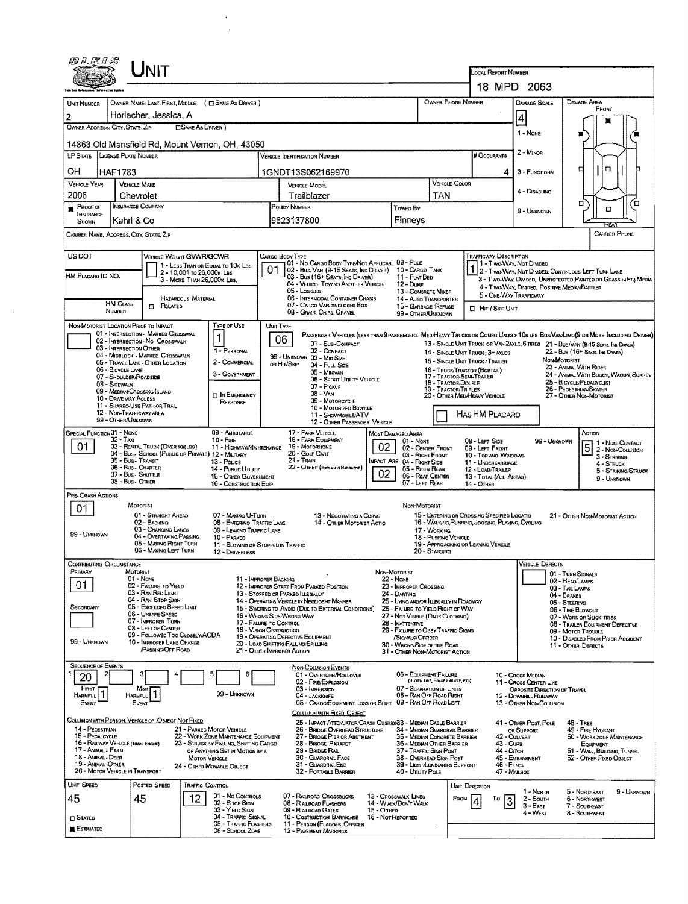| <b>UNIT</b>                                                                                                                                                                                        |                                                                                                                                                                                                 |
|----------------------------------------------------------------------------------------------------------------------------------------------------------------------------------------------------|-------------------------------------------------------------------------------------------------------------------------------------------------------------------------------------------------|
|                                                                                                                                                                                                    | <b>LOCAL REPORT NUMBER</b><br>18 MPD 2063                                                                                                                                                       |
|                                                                                                                                                                                                    | DAMAGE AREA<br>OWNER PHONE NUMBER                                                                                                                                                               |
| OWNER NAME: LAST, FIRST, MIDDLE ( E SAME AS DRIVER )<br><b>UNT NUMBER</b><br>Horlacher, Jessica, A<br>$\overline{2}$                                                                               | DAMAGE SCALE<br>FRONT                                                                                                                                                                           |
| <b>CISAME AS DRIVER</b> )<br>OWNER ADDRESS: CITY, STATE, ZIP                                                                                                                                       | 4                                                                                                                                                                                               |
| 14863 Old Mansfield Rd, Mount Vernon, OH, 43050                                                                                                                                                    | 1 - NONE                                                                                                                                                                                        |
| <b>LICENSE PLATE NUMBER</b><br>LP STATE<br><b>VEHICLE IDENTIFICATION NUMBER</b>                                                                                                                    | $2 - M$ IMOR<br># Occupants                                                                                                                                                                     |
| OН<br><b>HAF1783</b><br>1GNDT13S062169970                                                                                                                                                          | о<br>α<br>3 - FUNCTIONAL                                                                                                                                                                        |
| <b>VEHICLE YEAR</b><br><b>VENICLE MAKE</b><br><b>VEHICLE MODEL</b>                                                                                                                                 | VEHICLE COLOR<br>4 - Disabung                                                                                                                                                                   |
| 2006<br>Trailblazer<br>Chevrolet<br>INSURANCE COMPANY<br><b>POLICY NUMBER</b><br><b>PROOF OF</b>                                                                                                   | TAN<br>ם<br>п<br>Toweb By<br>□                                                                                                                                                                  |
| INSURANCE<br>Kahrl & Co<br>9623137800<br><b>SHOWN</b>                                                                                                                                              | 9 - UNKNOWN<br>Finneys<br>RFAF                                                                                                                                                                  |
| CARRIER NAME, ADDRESS, CITY, STATE, ZIP                                                                                                                                                            | <b>CARRIER PHONE</b>                                                                                                                                                                            |
| US DOT<br>VEHICLE WEIGHT GWWR/GCWR<br>CARGO BODY TYPE                                                                                                                                              | TRAFFICWAY DESCRIPTION                                                                                                                                                                          |
| 1 - LESS THAN OR EQUAL TO 10K LBS<br>2 - 10.001 to 26.000x Les<br>HM PLACARD ID NO.                                                                                                                | 01 - No CARGO BODY TYPE/NOT APPLICABL 09 - POLE<br>1 - T wo-Way, Not Divided<br>01 02 - Bus/Van (9-15 Seats, Inc Driver) 10 - Cargo Tank<br>2 - Two-Way, Not Divided, Continuous LEFT TURN LANE |
| 03 - Bus (16+ Seats, Inc DRIVER)<br>3 - MORE THAN 26,000K LBS.<br>04 - VEHICLE TOWING ANOTHER VEHICLE<br>05 - Logging                                                                              | 11 - FLAT BED<br>3 - T WO-WAY, DIVIDED, UNPROTECTED (PAINTEO OR GRASS >4FT.) MEDIA<br>12 - Dump<br>4 - Two-Way, Divideo, Positive Median Barrier<br>13 - CONCRETE MIXER                         |
| 06 - INTERMODAL CONTAINER CHASIS<br>HAZARDOUS MATERIAL<br><b>HM CLASS</b><br>07 - CARGO VAN ENCLOSED BOX<br>$\Box$ Related                                                                         | 5 - ONE-WAY TRAFFICWAY<br>14 - AUTO TRANSPORTER<br>15 - GARBAGE/REFUSE                                                                                                                          |
| NUMBER<br>08 - GRAN, CHIPS, GRAVEL                                                                                                                                                                 | <b>I HIT / SKIP UNIT</b><br>99 - OTHER/UNKNOWN                                                                                                                                                  |
| NON-MOTORIST LOCATION PRIOR TO IMPACT<br>TYPE OF USE<br><b>UNIT TYPE</b><br>01 - INTERSECTION - MARKED CROSSWAL                                                                                    | PASSENGER VEHICLES (LESS THAN 9 PASSENGERS MEDIHEAVY TRUCKS OR COMBO UNTS > 10K LBS BUS/VAN/LIMO(9 OR MORE INCLUDING DRIVER)                                                                    |
| 1<br>06<br>02 - INTERSECTION - NO CROSSWALK<br>01 - Sub-COMPACT<br>03 - INTERSECTION OTHER<br>1 - PERSONAL<br>02 - COMPACT                                                                         | 13 - SINGLE UNIT TRUCK OR VAN 2AXLE, 6 TIRES 21 - BUS/VAN (9-15 SEATS, ING DRAWN)<br>22 - Bus (16+ Seate, Ing Daver)<br>14 - SINGLE UNIT TRUCK: 3+ AXLES                                        |
| 04 - MIDBLOCK - MARKED CROSSWALK<br>99 - UNKNOWN 03 - MID SIZE<br>2 - COMMERCIAL<br>05 - TRAVEL LANE - OTHER LOCATION<br>or Hit/Skip<br>04 - FULL SIZE                                             | NON-MOTORIST<br>15 - SINGLE UNIT TRUCK / TRAILER<br>23 - ANIMAL WITH RIDER                                                                                                                      |
| 06 - BICYCLE LANE<br>05 - MINIVAN<br>3 - GOVERNMENT<br>07 - SHOULDER/ROADSIDE<br>06 - SPORT UTILITY VEHICLE                                                                                        | 16 - TRUCK/TRACTOR (BOBTAL)<br>24 - ANIMAL WITH BUGGY, WAGON, SURREY<br>17 - Tractor/Seni-Traller<br>25 - BICYCLE/PEDACYCUST<br>18 - TRACTOR/DOUBLE                                             |
| 08 - Sidewalk<br>07 - Pickup<br>09 - MEDIAN/CROSSING ISLAND<br>$08 - V_{AN}$<br><b>IT IN EMERGENCY</b><br>10 - DRIVE WAY ACCESS                                                                    | 26 - PEDESTRIAN/SKATER<br>19 - Tractor/Triples<br>20 - OTHER MEDIHEAVY VEHICLE<br>27 - Other Non-Motorist                                                                                       |
| 09 - Motorcycle<br>RESPONSE<br>11 - Shareo Use Path or Trail<br>10 - MOTORIZED BICYCLE<br>12 - NON-TRAFFICWAY AREA                                                                                 |                                                                                                                                                                                                 |
| 11 - SNOWMOBILE/ATV<br>99 - OTHER/UNKNOWN                                                                                                                                                          | Has HM Placard<br>12 - OTHER PASSENGER VEHICLE                                                                                                                                                  |
| SPECIAL FUNCTION 01 - NONE<br>09 - AMBULANCE<br>17 - FARM VEHICLE<br>18 - FARM EQUIPMENT<br>02 - Тахі<br>$10 -$ Fine                                                                               | Action<br>MOST DAMAGED AREA<br>08 - LEFT SIDE<br>99 - UNKNOWN<br>$01 - None$<br>1 - NDN-CONTACT                                                                                                 |
| 01<br>03 - RENTAL TRUCK (OVER 10XLBS)<br>19 - Мотокноме<br>11 - HIGHWAY/MAINTENANCE<br>04 - Bus - SCHOOL (PUBLIC OR PRIVATE) 12 - MILITARY<br>20 - GOLF CART<br>05 - Bus - Transit<br>$21 -$ TRAIN | 02<br>02 - CENTER FROM<br>09 - LEFT FRONT<br>2 - Non-Collision<br>03 - Right Front<br>10 - Top ANO WINDOWS<br>$3 -$ Strekeng                                                                    |
| 13 - Pouce<br>06 - Bus - Charter<br>22 - OTHER (EXPLANM NARRATIVE)<br>14 - Pusuc Unury<br>07 - Bus - SHUTTLE                                                                                       | IMPACT ARE 04 - RIGHT SIDE<br>11 - UNDERCARRIAGE<br>4 - STRUCK<br>05 - Right REAR<br>12 - LOAD/TRAILER<br>5 - STRIKING/STRUCK<br>02<br>06 - REAR CENTER                                         |
| 15 - OTHER GOVERNMENT<br>08 - Bus - Omen<br>16 - CONSTRUCTION EOIP.                                                                                                                                | 13 - TOTAL (ALL AREAS)<br>9 - Unknown<br>07 - LEFT REAR<br><b>14 - OTHER</b>                                                                                                                    |
| PRE- CRASH ACTIONS<br>MOTORIST                                                                                                                                                                     | NON-MOTORIST                                                                                                                                                                                    |
| 01<br>01 - STRAIGHT AHEAD<br>07 - MAKING U-TURN<br>02 - BACKING<br>08 - ENTERING TRAFFIC LANE                                                                                                      | 15 - EMTERING OR CROSSING SPECIFIED LOCATIO<br>13 - Negotiating a Curve<br>21 - Other Non-Motorist Action<br>16 - WALKING, RUNNING, JOGGING, PLAYING, CYCLING<br>14 - Отнен Мотояизт Астю       |
| 03 - CHANGING LANES<br>09 - LEAVING TRAFFIC LANE<br>99 - Unknown<br>04 - OVERTAKING/PASSING<br>10 - PARKED                                                                                         | 17 - WORKING<br>18 - Pusrong Vericue                                                                                                                                                            |
| 05 - MAXING RIGHT TURN<br>11 - SLOWING OR STOPPED IN TRAFFIC<br>06 - MAXING LEFT TURN<br>12 - DRIVERLESS                                                                                           | 19 - APPROACHING OR LEAVING VEHICLE<br>20 - STANDING                                                                                                                                            |
| Contributing Carcumstance                                                                                                                                                                          | Vehicle Defects                                                                                                                                                                                 |
| PRIMARY<br>MOTORIST<br>$01 - None$<br>11 - IMPROPER BACKING<br>01                                                                                                                                  | Non-Mororist<br>01 - TURN SIGNALS<br>22 - Nove<br>02 - HEAD LAMPS                                                                                                                               |
| 02 - FAILURE TO YIELD<br>12 - IMPROPER START FROM PARKED POSITION<br>03 - RAN RED LIGHT<br>13 - STOPPED OR PARKED LLEGALLY<br>04 - RAN STOP SIGN                                                   | 23 - IMPROPER CROSSING<br>03 - TAIL LAMPS<br>24 - Darting<br>04 - BRAKES                                                                                                                        |
| 14 - OPERATING VEHICLE IN NEGLIGENT MANNER<br>05 - Exceeped Speed Limit<br>SECONDARY<br>15 - Swering to Avoid (DUE TO EXTERNAL CONDITIONS)<br>06 - UNSAFE SPEED<br>16 - WRONG SIDE WRONG WAY       | 25 - LYING ANDIOR ILLEGALLY IN ROADWAY<br>05 - STEERING<br>26 - FALURE TO YIELD RIGHT OF WAY<br>06 - TIRE BLOWOUT                                                                               |
| 07 - IMPROPER TURN<br>17 - FALURE TO CONTROL<br>08 - LEFT OF CENTER<br>18 - VISION OBSTRUCTION                                                                                                     | 27 - Not Visible (DARK CLOTHING)<br>07 - WORN OR SUCK TIRES<br>28 - INATTENTIVE<br>08 - TRAILER EQUIPMENT DEFECTIVE<br>29 - FAILURE TO OBEY TRAFFIC SIGNS                                       |
| 09 - FOLLOWED TOO CLOSELY/ACDA<br>19 - OPERATING DEFECTIVE EQUIPMENT<br>99 - Unknown<br>10 - IMPROPER LANE CHANGE<br>20 - LOAD SHIFTING/FALLING/SPILLING                                           | 09 - Motor Trouble<br>/SIGNALS/OFFICER<br>10 - DISABLED FROM PRIOR ACCIDENT<br>30 - WRONG SIDE OF THE ROAD<br>11 - OTHER DEFECTS                                                                |
| <b>PASSING OFF ROAD</b><br>21 - OTHER IMPROPER ACTION                                                                                                                                              | 31 - OTHER NON-MOTORIST ACTION                                                                                                                                                                  |
| <b>SEQUENCE OF EVENTS</b><br><b>NON-COLLISION EVENTS</b><br>01 - OVERTURN/ROLLOVER<br>20                                                                                                           | 06 - EQUIPMENT FAILURE<br>10 - Cross Median                                                                                                                                                     |
| 02 - FIRE/EXPLOSION<br>FIRST<br>03 - IMMERSION<br>Most                                                                                                                                             | (BLOWN TIRE, BRAKE FAILURE, ETC)<br>11 - Cross CENTER LINE<br>07 - SEPARATION OF UNITS<br>OPPOSITE DIRECTION OF TRAVEL                                                                          |
| 1<br>1<br>99 - Unknown<br>Harmful I<br>HARMFUL<br>04 - JACKKNIFE<br>EVENT<br>Event                                                                                                                 | 08 - RAN OFF ROAD RIGHT<br>12 - DOWNHILL RUNAWAY<br>05 - CARGO/EQUIPMENT LOSS OR SHIFT 09 - RAN OFF ROAD LEFT<br>13 - OTHER NON-COLLISION                                                       |
| COLLISION WITH FIXED, OBJECT<br>COLLISION WITH PERSON, VEHICLE OR OBJECT NOT FIXED                                                                                                                 | 25 - IMPACT ATTENUATOR/CRASH CUSHIONS3 - MEDIAN CABLE BARRIER<br>41 - OTHER POST, POLE<br>48 - Tree                                                                                             |
| 14 - PEDESTRIAN<br>21 - PARKED MOTOR VEHICLE<br>26 - BRIDGE OVERHEAD STRUCTURE<br>15 - PEDALCYCLE<br>22 - WORK ZONE MAINTENANCE EQUIPMENT<br>27 - BRIOGE PIER OR ABUTMENT                          | 34 - MEDIAN GUARDRAIL BARRIER<br>49 - FIRE HYDRANT<br>OR SUPPORT<br>35 - MEDIAN CONCRETE BARRIER<br>42 - CULVERT<br>50 - WORK ZONE MAINTENANCE                                                  |
| 16 - RAILWAY VEHICLE (TRAIN, ENGINE)<br>23 - Struck by Falling, Shifting Cargo<br>28 - BRIOGE PARAPET<br>17 - Animal - Farm<br>29 - BRIDGE RAIL<br>OR ANYTHING SET IN MOTION BY A                  | 36 - MEDIAN OTHER BARRIER<br>43 - Cura<br>EQUIPMENT<br>37 - TRAFFIC SIGN POST<br>44 - Олсн<br>51 - WALL, BUILDING, TUNNEL                                                                       |
| 18 - Animal - Deer<br>30 - GUARDRAIL FACE<br><b>MOTOR VEHICLE</b><br>19 - ANIMAL-OTHER<br>31 - GUARDRAILEND<br>24 - OTHER MOVABLE OBJECT                                                           | 38 - Overhead Ston Post<br>45 - EMBANKMENT<br>52 - OTHER FIXED OBJECT<br>39 - LIGHT/LUMINARIES SUPPORT<br>46 - FENCE                                                                            |
| 20 - MOTOR VEHICLE IN TRANSPORT<br>32 - PORTABLE BARRIER<br>UNIT SPEED                                                                                                                             | 40 - UTILITY POLE<br>47 - MAILBOX                                                                                                                                                               |
| Posteo Speed<br>Traffic Control<br>01 - No Controls<br>07 - RAILROAD CROSSBUCKS<br>12<br>45<br>45                                                                                                  | UNIT DIRECTION<br>5 - Northeast<br>1 - North<br>9 - Ungonown<br>13 - Crosswalk LINES<br>From<br>6 - NORTHWEST<br>Τo<br>2 - Soum                                                                 |
| 02 - S TOP SIGN<br>08 - RALROAD FLASHERS<br>03 - YIELD SIGN<br>09 - RALROAD GATES                                                                                                                  | 13<br>14 - WALK/DON'T WALK<br>$3 - E$ AST<br>7 - SOUTHEAST<br>15 - Отнев<br>4 - West<br>8 - SOUTHWEST                                                                                           |
| 04 - TRAFFIC SIGNAL<br>10 - COSTRUCTION BARRICADE<br><b>C</b> Stated<br>05 - TRAFFIC FLASHERS<br>11 - PERSON (FLAGGER, OFFICER<br><b>E</b> Estimated                                               | 16 - Not Reported                                                                                                                                                                               |
| 06 - SCHOOL ZONE<br>12 - PAVEMENT MARKINGS                                                                                                                                                         |                                                                                                                                                                                                 |

 $\frac{1}{\sqrt{2}}\sum_{i=1}^{n-1}\frac{1}{\sqrt{2}}\left(\frac{1}{\sqrt{2}}\right)^2\left(\frac{1}{\sqrt{2}}\right)^2.$ 

 $\frac{1}{2} \frac{1}{2} \frac{1}{2} \frac{1}{2}$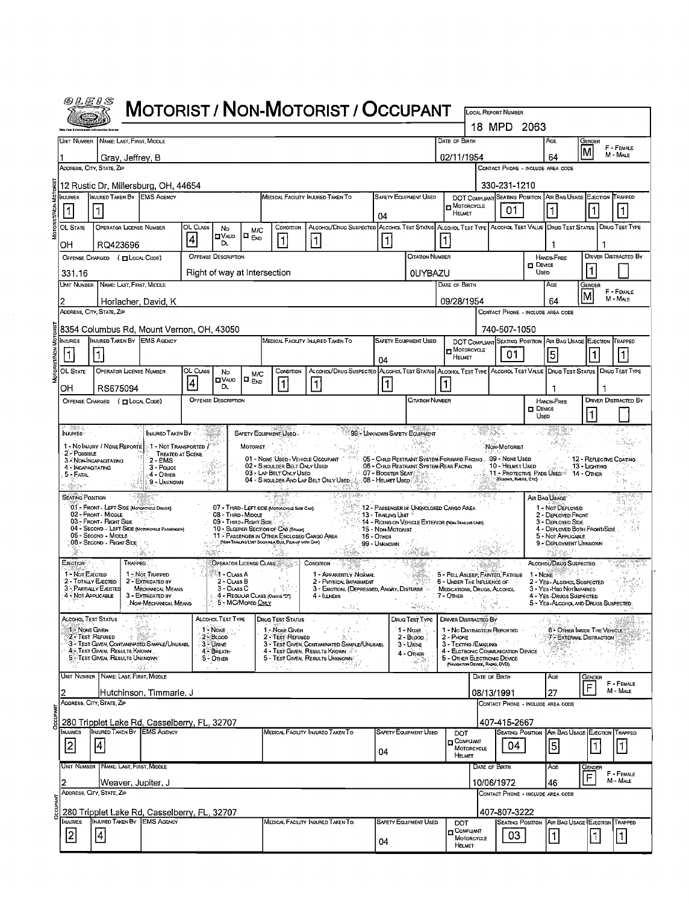| <i>@LE1S</i>                      |                                                                                                    |                                                                   |                             |                                                                |                                    |                                                                                                                                           | <b>MOTORIST / NON-MOTORIST / OCCUPANT</b>                                                                             |                                      |                                                                                               |                                                                                  |               |                                                   |                       |                                                                                        |                                          |                             |
|-----------------------------------|----------------------------------------------------------------------------------------------------|-------------------------------------------------------------------|-----------------------------|----------------------------------------------------------------|------------------------------------|-------------------------------------------------------------------------------------------------------------------------------------------|-----------------------------------------------------------------------------------------------------------------------|--------------------------------------|-----------------------------------------------------------------------------------------------|----------------------------------------------------------------------------------|---------------|---------------------------------------------------|-----------------------|----------------------------------------------------------------------------------------|------------------------------------------|-----------------------------|
|                                   |                                                                                                    |                                                                   |                             |                                                                |                                    |                                                                                                                                           |                                                                                                                       |                                      |                                                                                               |                                                                                  |               | LOCAL REPORT NUMBER<br>18 MPD 2063                |                       |                                                                                        |                                          |                             |
|                                   | UNIT NUMBER NAME: LAST, FIRST, MIDDLE                                                              |                                                                   |                             |                                                                |                                    |                                                                                                                                           |                                                                                                                       |                                      |                                                                                               | DATE OF BIRTH                                                                    |               |                                                   |                       | AGE                                                                                    | GENDER                                   | F - FEMALE                  |
|                                   | Gray, Jeffrey, B                                                                                   |                                                                   |                             |                                                                |                                    |                                                                                                                                           |                                                                                                                       |                                      |                                                                                               | 02/11/1954                                                                       |               |                                                   |                       | 64                                                                                     | lм                                       | M - MALE                    |
|                                   | ADDRESS, CITY, STATE, ZIP                                                                          |                                                                   |                             |                                                                |                                    |                                                                                                                                           |                                                                                                                       |                                      |                                                                                               |                                                                                  |               | CONTACT PHONE - INCLUDE AREA CODE<br>330-231-1210 |                       |                                                                                        |                                          |                             |
| <b>I</b> njuries                  | 12 Rustic Dr, Millersburg, OH, 44654<br>INJURED TAKEN BY EMS AGENCY                                |                                                                   |                             |                                                                |                                    |                                                                                                                                           | <b>MEDICAL FACILITY INJURED TAKEN TO</b>                                                                              |                                      | SAFETY EQUIPMENT USED                                                                         |                                                                                  |               |                                                   |                       | DOT COMPLIANT SEATING POSITION AIR BAG USAGE EJECTION TRAPPED                          |                                          |                             |
| 1                                 |                                                                                                    |                                                                   |                             |                                                                |                                    |                                                                                                                                           |                                                                                                                       | 04                                   |                                                                                               | MOTORCYCLE<br>HELMET                                                             |               | 01                                                |                       |                                                                                        |                                          | $\vert$ 1                   |
| OL STATE                          | OPERATOR LICENSE NUMBER                                                                            |                                                                   | OL CLASS<br>$\vert 4 \vert$ | No<br>∐V∧⊔о                                                    | M/C<br>O <sub>End</sub>            | CONDITION<br>$\vert$ 1                                                                                                                    | ALCOHOL/DRUG SUSPECTED ALCOHOL TEST STATUS ALCOHOL TEST TYPE ALCOHOL TEST VALUE DRUG TEST STATUS DRUG TEST TYPE<br>11 | 1                                    |                                                                                               |                                                                                  |               |                                                   |                       |                                                                                        |                                          |                             |
| OH                                | RQ423696<br>OFFENSE CHARGED ( CLOCAL CODE)                                                         |                                                                   |                             | D.<br><b>OFFENSE DESCRIPTION</b>                               |                                    |                                                                                                                                           |                                                                                                                       |                                      | CITATION NUMBER                                                                               |                                                                                  |               |                                                   |                       | HANDS-FREE                                                                             |                                          | <b>DRIVER DISTRACTED BY</b> |
| 331.16                            |                                                                                                    |                                                                   |                             | Right of way at Intersection                                   |                                    |                                                                                                                                           |                                                                                                                       |                                      | <b>OUYBAZU</b>                                                                                |                                                                                  |               |                                                   | <b>DEVICE</b><br>UsED |                                                                                        |                                          |                             |
|                                   | Unit Number   Name: Last, First, Middle                                                            |                                                                   |                             |                                                                |                                    |                                                                                                                                           |                                                                                                                       |                                      |                                                                                               | DATE OF BIRTH                                                                    |               |                                                   |                       | AGE                                                                                    | Gender<br>lM                             | F - FEMALE                  |
|                                   | Horlacher, David, K<br>ADDRESS, CITY, STATE, ZIP                                                   |                                                                   |                             |                                                                |                                    |                                                                                                                                           |                                                                                                                       |                                      |                                                                                               | 09/28/1954                                                                       |               | CONTACT PHONE - INCLUDE AREA CODE                 |                       | 64                                                                                     |                                          | M - MALE                    |
|                                   | 8354 Columbus Rd, Mount Vernon, OH, 43050                                                          |                                                                   |                             |                                                                |                                    |                                                                                                                                           |                                                                                                                       |                                      |                                                                                               |                                                                                  |               | 740-507-1050                                      |                       |                                                                                        |                                          |                             |
| <b>NJURIES</b>                    | INJURED TAKEN BY EMS AGENCY                                                                        |                                                                   |                             |                                                                |                                    |                                                                                                                                           | MEDICAL FACILITY INJURED TAKEN TO                                                                                     |                                      | <b>SAFETY EQUIPMENT USED</b>                                                                  | MOTORCYCLE                                                                       |               |                                                   |                       | DOT COMPLIANT SEATING POSITION AIR BAG USAGE EJECTION TRAPPED                          |                                          |                             |
| OL State                          | <b>OPERATOR LICENSE NUMBER</b>                                                                     |                                                                   | OL CLASS                    | No                                                             |                                    | CONDITION                                                                                                                                 | ALCOHOL/DRUG SUSPECTED ALCOHOL TEST STATUS ALCOHOL TEST TYPE ALCOHOL TEST VALUE DRUG TEST STATUS DRUG TEST TYPE       | 04                                   |                                                                                               | <b>HELMET</b>                                                                    |               | 01                                                |                       | $\vert$ 5                                                                              |                                          |                             |
| OH                                | RS675094                                                                                           |                                                                   | $\vert 4 \vert$             | <b>OVAJD</b><br>D.                                             | M/C<br>$\blacksquare$ $_{\sf END}$ | 11                                                                                                                                        | $\vert$ 1                                                                                                             | 11                                   |                                                                                               |                                                                                  |               |                                                   |                       |                                                                                        |                                          |                             |
|                                   | OFFENSE CHARGED ( CLOCAL CODE)                                                                     |                                                                   |                             | <b>OFFENSE DESCRIPTION</b>                                     |                                    |                                                                                                                                           |                                                                                                                       |                                      | CITATION NUMBER                                                                               |                                                                                  |               |                                                   | $\Box$ Device         | HANDS-FREE                                                                             |                                          | <b>DRIVER DISTRACTED BY</b> |
|                                   |                                                                                                    |                                                                   |                             |                                                                |                                    |                                                                                                                                           |                                                                                                                       |                                      |                                                                                               |                                                                                  |               |                                                   | Used                  |                                                                                        |                                          |                             |
| <b>INJURIES</b>                   | 1 - No INJURY / NONE REPORTE:                                                                      | INJURED TAKEN BY<br>$>1$ - Not Transported $\ell^{\infty}$        |                             |                                                                | MOTORIST                           | SAFETY EQUIPMENT USED                                                                                                                     |                                                                                                                       | 99 - UNKNOWN SAFETY EQUIPMENT        |                                                                                               |                                                                                  |               | NON-MOTORIST                                      |                       |                                                                                        |                                          |                             |
| 2 - Possible                      | 3. NON-INCAPACITATING                                                                              | TREATED AT SCENE<br>2 - EMS                                       |                             |                                                                |                                    | 02 - SHOULDER BELT ONLY USED                                                                                                              | 01 - NONE USED - VEHICLE OCCUPANT * *** 05 - CHILD RESTRAINT SYSTEM-FORWARD FACING 09 - NONE USED                     |                                      | 06 - CHILD RESTRAINT SYSTEM-REAR FACING                                                       |                                                                                  |               |                                                   |                       |                                                                                        | 12 - REFLECTIVE COATING<br>13 - Ligiming |                             |
| 4 - INCAPACITATING<br>$5 -$ Fatal |                                                                                                    | 3 - Pouce<br>4 - Ofher<br>9 - UNKNOWN                             |                             | gezh e<br>15 a July 20                                         |                                    | 03 - LAP BELT ONLY USED                                                                                                                   | 04 - S HOULDER AND LAP BELT ONLY USED 3.3 - OB - HELMET USED                                                          | <b>1941.07 - BOOSTER SEAT MARKET</b> |                                                                                               |                                                                                  |               | 10 - HELMET USED<br>(ELBOWS, KNEES, ETC)          |                       | 11 - PROTECTIVE PADS USED: 14 - OTHER                                                  |                                          | s ga                        |
| <b>SEATING POSITION</b>           |                                                                                                    |                                                                   |                             |                                                                |                                    |                                                                                                                                           | - 7 - 31 - 31 - 31 - 31                                                                                               |                                      |                                                                                               |                                                                                  |               |                                                   |                       | AIR BAG USAGE                                                                          |                                          | 8à                          |
|                                   | 01- FRONT - LEFT SIDE (MOTORCYCLE DRIVER)<br>02 - FRONT - MIDDLE<br>03 - Front - Right Side        |                                                                   |                             | 08 - Third - Midole<br>09 - THIRD - RIGHT SIDE                 |                                    | 07 - THIRD - LEFT SIDE (MOTOROYOLE SIDE CAR)                                                                                              |                                                                                                                       | 13 - Trailing Unit                   | 12 - PASSENGER IN UNENCLOSED CARGO AREA<br>14 - RIDING ON VEHICLE EXTERIOR (NON-TRAILIAN UNT) |                                                                                  |               |                                                   |                       | 1 - NOT DEPLOYED<br>2 - DEPLOYED FRONT<br>3 - DEPLOYED SIDE                            |                                          |                             |
|                                   | 04 - SECOND - LEFT SIDE (MOTOROYCLE PASSENGER)<br>05 - Second - MIDDLE<br>06 - Second - Right Side |                                                                   |                             |                                                                |                                    | 10 - SLEEPER SECTION OF CAB (TRUCK)<br>11 - PASSENGER IN OTHER ENCLOSED CARGO AREA<br>[NON-TRAILING LINT SUCH AS A BUS, PICK-UP WITH CAP] |                                                                                                                       | 15 - Non-Motorist<br>16 - OTHER      |                                                                                               |                                                                                  |               |                                                   |                       | 4 - DEPLOYED BOTH FRONT/SIDE<br>5 - Not APPLICABLE                                     |                                          |                             |
|                                   |                                                                                                    |                                                                   |                             |                                                                |                                    |                                                                                                                                           |                                                                                                                       | 99 - UNKNOWN                         |                                                                                               |                                                                                  |               |                                                   |                       | 9 - DEPLOYMENT UNKNOWN                                                                 |                                          |                             |
| EJECTION<br>1 - Not EJECTED       | 仕<br><b>TRAPPED</b>                                                                                | 1 - Not Trapped                                                   |                             | OPERATOR LICENSE CLASS<br><sup>्थ</sup> ा - C∟∧ss A            |                                    |                                                                                                                                           | CONDITION .<br>1 - APPARENTLY NORMAL                                                                                  |                                      |                                                                                               | 5 - FELL ASLEEP, FANTED, FATIGUE                                                 |               |                                                   |                       | ALCOHOL/DRUG SUSPECTED<br>$1 - \text{Now}$                                             |                                          |                             |
|                                   | 2 - TOTALLY EJECTED<br>3 - PARTIALLY EJECTED<br>4 - Not Applicable                                 | 2 - EXTRICATED BY<br><b>MECHANICAL MEANS</b><br>3 - Extricated by |                             | 2 - CLASS B<br>3 - CLASS C<br>4. 4 - REGULAR CLASS (Oxio)s D'] |                                    |                                                                                                                                           | 2 - PHYSICAL IMPAIRMENT<br>3 EMOTIONL (DEPRESSED, ANGRY, DISTURBE<br>4 - Illness                                      |                                      |                                                                                               | 6 - UNDER THE INFLUENCE OF<br>MEDICATIONS, DRUGS; ALCOHOL<br>$7 -$ OTHER<br>- 17 |               |                                                   |                       | 2 - YES - ALCOHOL SUSPECTED<br>3 - YES - Han Not IMPAIRED<br>4 - Yes - Drugs Suspected |                                          |                             |
| $\chi = \infty$                   | 129                                                                                                | NON-MECHANICAL MEANS                                              |                             |                                                                | 5 - MC/Moped Only                  |                                                                                                                                           | $\mathbf{s}_{\mathrm{c},i}$ ) ( $\mathbf{r}_{\mathrm{c}}$                                                             |                                      | $\mathcal{L}_{\mathcal{P}}$                                                                   |                                                                                  | ð.            |                                                   |                       | 5 - YES-ALCOHOLAND DRUGS SUSPECTED                                                     |                                          |                             |
| 1 - NONE GIVEN                    | Alcohol Test Status                                                                                |                                                                   |                             | ALCOHOL TEST TYPE<br>1 - NONE                                  |                                    | DRUG TEST STATUS<br>1. None Civen                                                                                                         | ਤੇ ਦੇ ਸਕ                                                                                                              |                                      | Drug Test Type<br>1 - None                                                                    | <b>DRIVER DISTRACTED BY</b><br>1 - No DISTRACTION REPORTED                       |               |                                                   |                       | 6 - OTHER INSIDE THE VEHICLE                                                           |                                          |                             |
|                                   | 2 - Test Refused<br>3 - Test Given, Contaminated Sample/Unusabl<br>4 - Test Given, Results Known   |                                                                   |                             | $2 - B$ LOOD<br>3-URINE<br>4 BREATH                            |                                    | 2 - Test Refused                                                                                                                          | - 27<br>3 - TEST GIVEN, CONTAMINATED SAMPLE/UNUSABL<br>4 - TEST GIVEN, RESULTS KNOWN                                  |                                      | $2 - B$ Loop<br>3 - Unine<br>$4 - OmER$                                                       | 2 - PHONE<br>3 - TEXTING / EMAILING<br>4 - ELCTRONIC COMMUNICATION DEVICE        |               |                                                   |                       | 7 EXTERNAL DISTRACTION                                                                 |                                          |                             |
|                                   | 5 - Test Given, Results Unknown                                                                    |                                                                   |                             | 5 - OTHER                                                      |                                    |                                                                                                                                           | 5 - TEST GIVEN, RESULTS UNKNOWN                                                                                       |                                      | تهای د                                                                                        | 5 - OTHER ELECTRONIC DEVICE<br>(NAVIGATION DEVICE, RADIO, DVD)                   |               |                                                   |                       |                                                                                        |                                          |                             |
|                                   | UNIT NUMBER   NAME: LAST, FIRST, MIDDLE                                                            |                                                                   |                             |                                                                |                                    |                                                                                                                                           |                                                                                                                       |                                      |                                                                                               |                                                                                  | DATE OF BIRTH |                                                   |                       | AGE                                                                                    | GENDER<br>F                              | F - FEMALE<br>M - MALE      |
|                                   | Hutchinson, Timmarie, J<br>ADDRESS, CITY, STATE, ZIP                                               |                                                                   |                             |                                                                |                                    |                                                                                                                                           |                                                                                                                       |                                      |                                                                                               |                                                                                  | 08/13/1991    | CONTACT PHONE - INCLUDE AREA CODE                 |                       | 27                                                                                     |                                          |                             |
|                                   | 280 Tripplet Lake Rd, Casselberry, FL, 32707                                                       |                                                                   |                             |                                                                |                                    |                                                                                                                                           |                                                                                                                       |                                      |                                                                                               |                                                                                  |               | 407-415-2667                                      |                       |                                                                                        |                                          |                             |
| NJURIES<br>$\vert$ 2              | INJURED TAKEN BY EMS AGENCY<br>4                                                                   |                                                                   |                             |                                                                |                                    |                                                                                                                                           | MEDICAL FACILITY INJURED TAKEN TO                                                                                     |                                      | <b>SAFETY EQUIPMENT USED</b>                                                                  | <b>DOT</b><br>COMPUANT                                                           |               | <b>SEATING POSITION</b><br>04                     |                       | AIR BAG USAGE EJECTION TRAPPED<br>5                                                    | 1                                        | 1                           |
|                                   | UNIT NUMBER NAME: LAST FIRST, MIDDLE                                                               |                                                                   |                             |                                                                |                                    |                                                                                                                                           |                                                                                                                       | 04                                   |                                                                                               | MOTORCYCLE<br>HELMET                                                             | DATE OF BIRTH |                                                   |                       |                                                                                        |                                          |                             |
|                                   | Weaver, Jupiter, J                                                                                 |                                                                   |                             |                                                                |                                    |                                                                                                                                           |                                                                                                                       |                                      |                                                                                               |                                                                                  | 10/06/1972    |                                                   |                       | AGE<br>46                                                                              | GENDER<br>$\overline{F}$                 | F - FEMALE<br>M - MALE      |
|                                   | ADDRESS, CITY, STATE, ZIP                                                                          |                                                                   |                             |                                                                |                                    |                                                                                                                                           |                                                                                                                       |                                      |                                                                                               |                                                                                  |               | CONTACT PHONE - INCLUDE AREA CODE                 |                       |                                                                                        |                                          |                             |
| NJURIES                           | 280 Tripplet Lake Rd, Casselberry, FL, 32707<br>NJURED TAKEN BY EMS AGENCY                         |                                                                   |                             |                                                                |                                    |                                                                                                                                           | MEDICAL FACILITY INJURED TAKEN TO                                                                                     |                                      | <b>SAFETY EQUIPMENT USED</b>                                                                  |                                                                                  |               | 407-807-3222                                      |                       |                                                                                        |                                          |                             |
| 2                                 | [4                                                                                                 |                                                                   |                             |                                                                |                                    |                                                                                                                                           |                                                                                                                       |                                      |                                                                                               | DOT<br>$\Box$ Compliant<br>MOTORCYCLE                                            |               | <b>SEATING POSITION</b><br>03                     |                       | AIR BAG USAGE EJECTION TRAPPED<br>$\vert$ 1 $\vert$                                    | │1                                       | $\vert$ 1 $\vert$           |
|                                   |                                                                                                    |                                                                   |                             |                                                                |                                    |                                                                                                                                           |                                                                                                                       | 04                                   |                                                                                               | HELMET                                                                           |               |                                                   |                       |                                                                                        |                                          |                             |